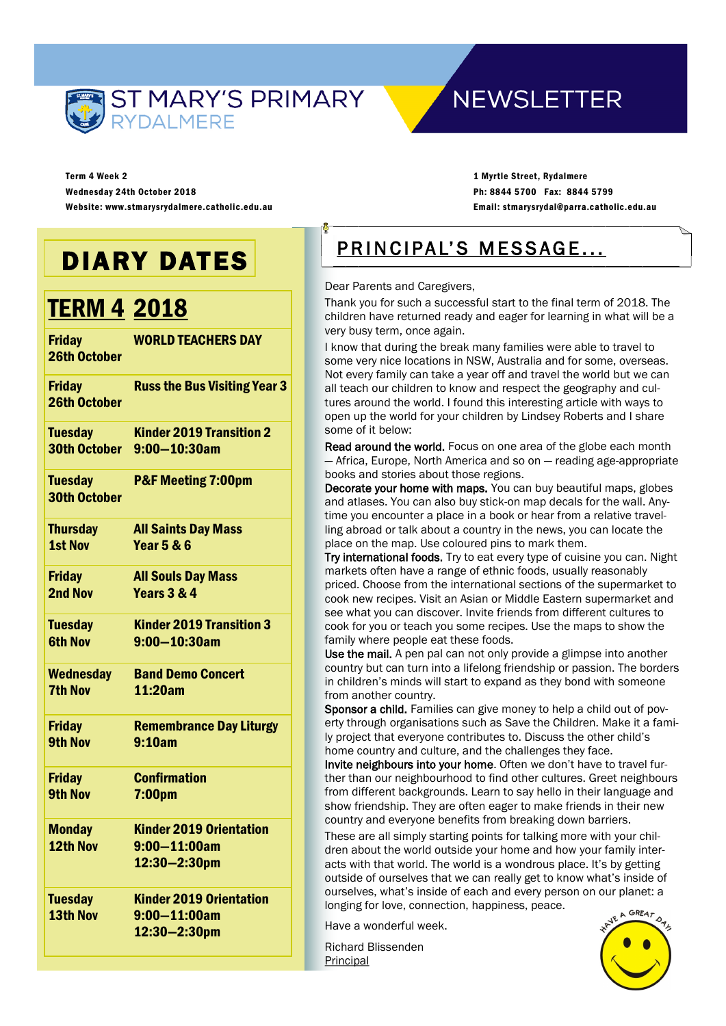

## **NEWSLETTER**

Term 4 Week 2 Wednesday 24th October 2018 Website: www.stmarysrydalmere.catholic.edu.au

1 Myrtle Street, Rydalmere Ph: 8844 5700 Fax: 8844 5799 Email: stmarysrydal@parra.catholic.edu.au

## DIARY DATES

## TERM 4 2018

| <b>Friday</b><br><b>26th October</b>  | <b>WORLD TEACHERS DAY</b>                                           |
|---------------------------------------|---------------------------------------------------------------------|
| <b>Friday</b><br><b>26th October</b>  | <b>Russ the Bus Visiting Year 3</b>                                 |
| <b>Tuesday</b>                        | <b>Kinder 2019 Transition 2</b>                                     |
| <b>30th October</b>                   | $9:00 - 10:30$ am                                                   |
| <b>Tuesday</b><br><b>30th October</b> | <b>P&amp;F Meeting 7:00pm</b>                                       |
| <b>Thursday</b>                       | <b>All Saints Day Mass</b>                                          |
| <b>1st Nov</b>                        | <b>Year 5 &amp; 6</b>                                               |
| <b>Friday</b>                         | <b>All Souls Day Mass</b>                                           |
| 2nd Nov                               | Years 3 & 4                                                         |
| <b>Tuesday</b>                        | <b>Kinder 2019 Transition 3</b>                                     |
| <b>6th Nov</b>                        | $9:00 - 10:30$ am                                                   |
| <b>Wednesday</b>                      | <b>Band Demo Concert</b>                                            |
| <b>7th Nov</b>                        | 11:20am                                                             |
| <b>Friday</b>                         | <b>Remembrance Day Liturgy</b>                                      |
| <b>9th Nov</b>                        | 9:10am                                                              |
| <b>Friday</b>                         | <b>Confirmation</b>                                                 |
| <b>9th Nov</b>                        | 7:00pm                                                              |
| <b>Monday</b><br>12th Nov             | <b>Kinder 2019 Orientation</b><br>$9:00 - 11:00$ am<br>12:30-2:30pm |
| <b>Tuesday</b><br>13th Nov            | <b>Kinder 2019 Orientation</b><br>$9:00 - 11:00$ am<br>12:30-2:30pm |
|                                       |                                                                     |

## PRINCIPAL'S MESSAGE...

Dear Parents and Caregivers,

Thank you for such a successful start to the final term of 2018. The children have returned ready and eager for learning in what will be a very busy term, once again.

I know that during the break many families were able to travel to some very nice locations in NSW, Australia and for some, overseas. Not every family can take a year off and travel the world but we can all teach our children to know and respect the geography and cultures around the world. I found this interesting article with ways to open up the world for your children by Lindsey Roberts and I share some of it below:

Read around the world. Focus on one area of the globe each month — Africa, Europe, North America and so on — reading age-appropriate books and stories about those regions.

Decorate your home with maps. You can buy beautiful maps, globes and atlases. You can also buy stick-on map decals for the wall. Anytime you encounter a place in a book or hear from a relative travelling abroad or talk about a country in the news, you can locate the place on the map. Use coloured pins to mark them.

Try international foods. Try to eat every type of cuisine you can. Night markets often have a range of ethnic foods, usually reasonably priced. Choose from the international sections of the supermarket to cook new recipes. Visit an Asian or Middle Eastern supermarket and see what you can discover. Invite friends from different cultures to cook for you or teach you some recipes. Use the maps to show the family where people eat these foods.

Use the mail. A pen pal can not only provide a glimpse into another country but can turn into a lifelong friendship or passion. The borders in children's minds will start to expand as they bond with someone from another country.

Sponsor a child. Families can give money to help a child out of poverty through organisations such as Save the Children. Make it a family project that everyone contributes to. Discuss the other child's home country and culture, and the challenges they face.

Invite neighbours into your home. Often we don't have to travel further than our neighbourhood to find other cultures. Greet neighbours from different backgrounds. Learn to say hello in their language and show friendship. They are often eager to make friends in their new country and everyone benefits from breaking down barriers.

These are all simply starting points for talking more with your children about the world outside your home and how your family interacts with that world. The world is a wondrous place. It's by getting outside of ourselves that we can really get to know what's inside of ourselves, what's inside of each and every person on our planet: a longing for love, connection, happiness, peace.

Have a wonderful week.

Richard Blissenden Principal

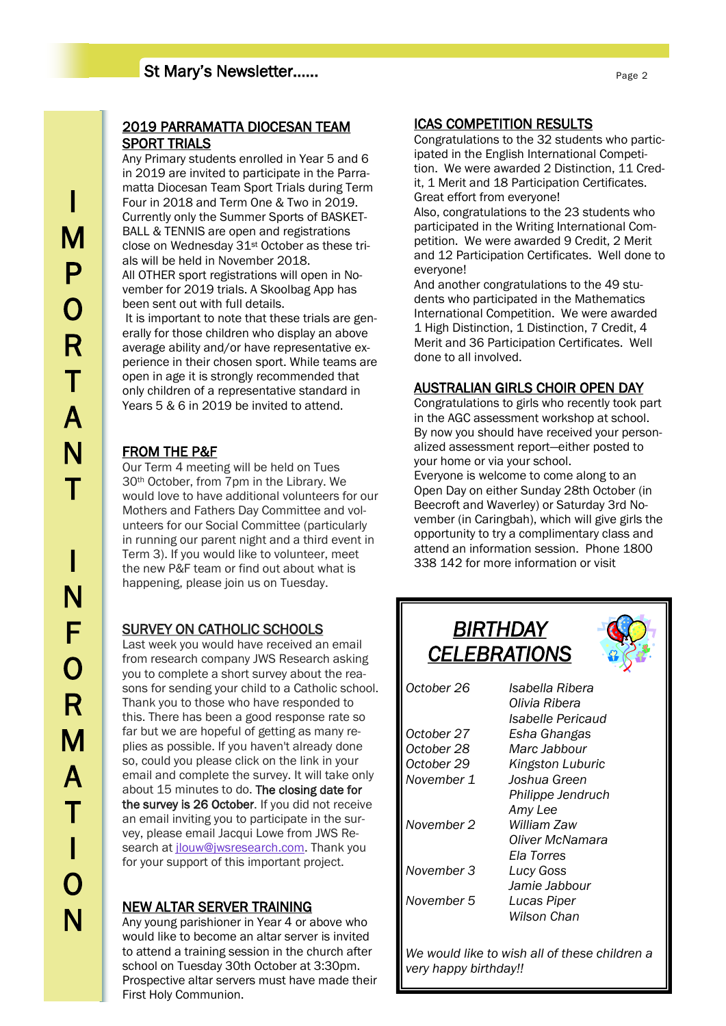#### 2019 PARRAMATTA DIOCESAN TEAM SPORT TRIALS

Any Primary students enrolled in Year 5 and 6 in 2019 are invited to participate in the Parramatta Diocesan Team Sport Trials during Term Four in 2018 and Term One & Two in 2019. Currently only the Summer Sports of BASKET-BALL & TENNIS are open and registrations close on Wednesday 31st October as these trials will be held in November 2018. All OTHER sport registrations will open in November for 2019 trials. A Skoolbag App has been sent out with full details. It is important to note that these trials are generally for those children who display an above

average ability and/or have representative experience in their chosen sport. While teams are open in age it is strongly recommended that only children of a representative standard in Years 5 & 6 in 2019 be invited to attend.

### FROM THE P&F

Our Term 4 meeting will be held on Tues 30th October, from 7pm in the Library. We would love to have additional volunteers for our Mothers and Fathers Day Committee and volunteers for our Social Committee (particularly in running our parent night and a third event in Term 3). If you would like to volunteer, meet the new P&F team or find out about what is happening, please join us on Tuesday.

### SURVEY ON CATHOLIC SCHOOLS

Last week you would have received an email from research company JWS Research asking you to complete a short survey about the reasons for sending your child to a Catholic school. Thank you to those who have responded to this. There has been a good response rate so far but we are hopeful of getting as many replies as possible. If you haven't already done so, could you please click on the link in your email and complete the survey. It will take only about 15 minutes to do. The closing date for the survey is 26 October. If you did not receive an email inviting you to participate in the survey, please email Jacqui Lowe from JWS Research at *ilouw@iwsresearch.com*. Thank you for your support of this important project.

#### NEW ALTAR SERVER TRAINING

Any young parishioner in Year 4 or above who would like to become an altar server is invited to attend a training session in the church after school on Tuesday 30th October at 3:30pm. Prospective altar servers must have made their First Holy Communion.

#### ICAS COMPETITION RESULTS

Congratulations to the 32 students who participated in the English International Competition. We were awarded 2 Distinction, 11 Credit, 1 Merit and 18 Participation Certificates. Great effort from everyone!

Also, congratulations to the 23 students who participated in the Writing International Competition. We were awarded 9 Credit, 2 Merit and 12 Participation Certificates. Well done to everyone!

And another congratulations to the 49 students who participated in the Mathematics International Competition. We were awarded 1 High Distinction, 1 Distinction, 7 Credit, 4 Merit and 36 Participation Certificates. Well done to all involved.

#### AUSTRALIAN GIRLS CHOIR OPEN DAY

Congratulations to girls who recently took part in the AGC assessment workshop at school. By now you should have received your personalized assessment report—either posted to your home or via your school.

Everyone is welcome to come along to an Open Day on either Sunday 28th October (in Beecroft and Waverley) or Saturday 3rd November (in Caringbah), which will give girls the opportunity to try a complimentary class and attend an information session. Phone 1800 338 142 for more information or visit



*We would like to wish all of these children a very happy birthday!!*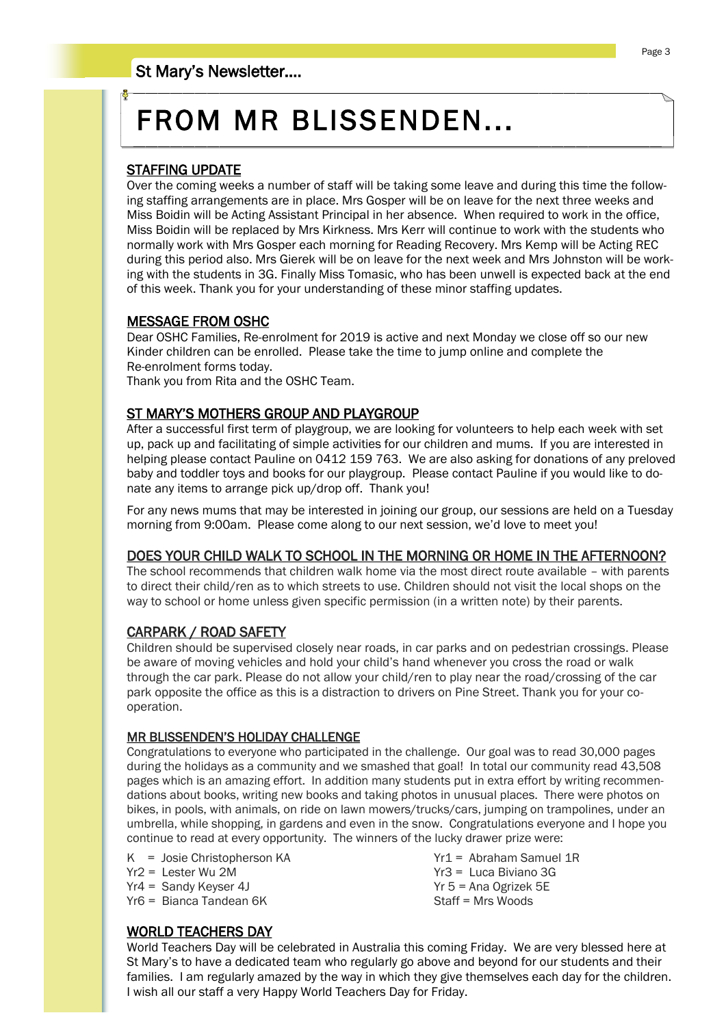# FROM MR BLISSENDEN...

#### STAFFING UPDATE

Over the coming weeks a number of staff will be taking some leave and during this time the following staffing arrangements are in place. Mrs Gosper will be on leave for the next three weeks and Miss Boidin will be Acting Assistant Principal in her absence. When required to work in the office, Miss Boidin will be replaced by Mrs Kirkness. Mrs Kerr will continue to work with the students who normally work with Mrs Gosper each morning for Reading Recovery. Mrs Kemp will be Acting REC during this period also. Mrs Gierek will be on leave for the next week and Mrs Johnston will be working with the students in 3G. Finally Miss Tomasic, who has been unwell is expected back at the end of this week. Thank you for your understanding of these minor staffing updates.

#### MESSAGE FROM OSHC

Dear OSHC Families, Re-enrolment for 2019 is active and next Monday we close off so our new Kinder children can be enrolled. Please take the time to jump online and complete the Re-enrolment forms today.

Thank you from Rita and the OSHC Team.

#### ST MARY'S MOTHERS GROUP AND PLAYGROUP

After a successful first term of playgroup, we are looking for volunteers to help each week with set up, pack up and facilitating of simple activities for our children and mums. If you are interested in helping please contact Pauline on 0412 159 763. We are also asking for donations of any preloved baby and toddler toys and books for our playgroup. Please contact Pauline if you would like to donate any items to arrange pick up/drop off. Thank you!

For any news mums that may be interested in joining our group, our sessions are held on a Tuesday morning from 9:00am. Please come along to our next session, we'd love to meet you!

#### DOES YOUR CHILD WALK TO SCHOOL IN THE MORNING OR HOME IN THE AFTERNOON?

The school recommends that children walk home via the most direct route available – with parents to direct their child/ren as to which streets to use. Children should not visit the local shops on the way to school or home unless given specific permission (in a written note) by their parents.

#### CARPARK / ROAD SAFETY

Children should be supervised closely near roads, in car parks and on pedestrian crossings. Please be aware of moving vehicles and hold your child's hand whenever you cross the road or walk through the car park. Please do not allow your child/ren to play near the road/crossing of the car park opposite the office as this is a distraction to drivers on Pine Street. Thank you for your cooperation.

#### MR BLISSENDEN'S HOLIDAY CHALLENGE

Congratulations to everyone who participated in the challenge. Our goal was to read 30,000 pages during the holidays as a community and we smashed that goal! In total our community read 43,508 pages which is an amazing effort. In addition many students put in extra effort by writing recommendations about books, writing new books and taking photos in unusual places. There were photos on bikes, in pools, with animals, on ride on lawn mowers/trucks/cars, jumping on trampolines, under an umbrella, while shopping, in gardens and even in the snow. Congratulations everyone and I hope you continue to read at every opportunity. The winners of the lucky drawer prize were:

K = Josie Christopherson KA Yr1 = Abraham Samuel 1R Yr2 = Lester Wu 2M Yr3 = Luca Biviano 3G

Yr4 = Sandy Keyser 4J Yr 5 = Ana Ogrizek 5E Yr6 = Bianca Tandean 6K

#### WORLD TEACHERS DAY

World Teachers Day will be celebrated in Australia this coming Friday. We are very blessed here at St Mary's to have a dedicated team who regularly go above and beyond for our students and their families. I am regularly amazed by the way in which they give themselves each day for the children. I wish all our staff a very Happy World Teachers Day for Friday.